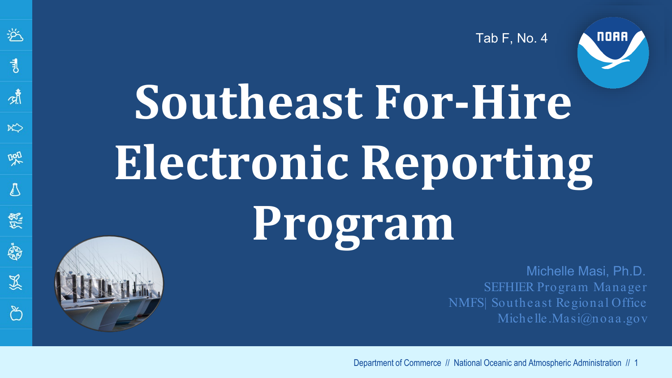Tab F, No. 4



# **Southeast For-Hire Electronic Reporting Program**

逧

 $\overline{\mathcal{L}}$ 

啸

 $\aleph$ 

噪

 $\sqrt{2}$ 

經

 $\ddot{\mathbb{S}}$ 

显

్రి

Michelle Masi, Ph.D. SEFHIER Program Manager NMFS| Southeast Regional Office Michelle.Masi@noaa.gov

Department of Commerce // National Oceanic and Atmospheric Administration // 1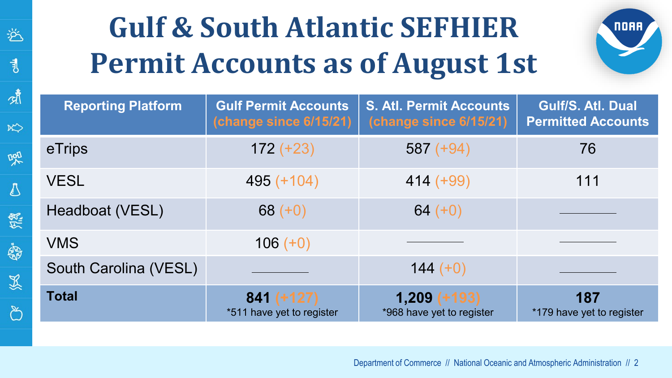| <b>Gulf &amp; South Atlantic SEFHIER</b><br>NOAA<br><b>Permit Accounts as of August 1st</b> |                                                       |                                                          |                                                |
|---------------------------------------------------------------------------------------------|-------------------------------------------------------|----------------------------------------------------------|------------------------------------------------|
| <b>Reporting Platform</b>                                                                   | <b>Gulf Permit Accounts</b><br>(change since 6/15/21) | <b>S. Atl. Permit Accounts</b><br>(change since 6/15/21) | Gulf/S. Atl. Dual<br><b>Permitted Accounts</b> |
| eTrips                                                                                      | $172 (+23)$                                           | $587 (+94)$                                              | 76                                             |
| <b>VESL</b>                                                                                 | $495 (+104)$                                          | $414 (+99)$                                              | 111                                            |
| Headboat (VESL)                                                                             | 68 $(+0)$                                             | 64 $(+0)$                                                |                                                |
| <b>VMS</b>                                                                                  | $106 (+0)$                                            |                                                          |                                                |
| South Carolina (VESL)                                                                       |                                                       | $144 (+0)$                                               |                                                |
| <b>Total</b>                                                                                | $841 (+127)$<br>*511 have yet to register             | $1,209 (+193)$<br>*968 have yet to register              | 187<br>*179 have yet to register               |

逧

 $\begin{array}{c} \n 1\n \end{array}$ 

啸

 $\aleph$ 

翠

 $\mathcal{D}$ 

经

S

災

 $\infty$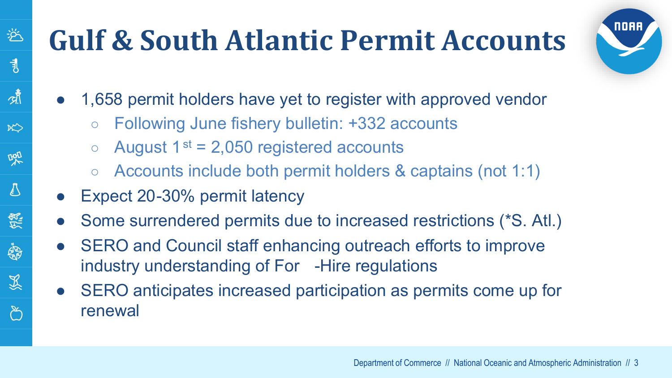### **Gulf & South Atlantic Permit Accounts**



- 1,658 permit holders have yet to register with approved vendor
	- Following June fishery bulletin: +332 accounts
	- $\circ$  August 1<sup>st</sup> = 2,050 registered accounts
	- Accounts include both permit holders & captains (not 1:1)
- Expect 20-30% permit latency

逧

 $\overline{\mathbf{3}}$ 

啸

 $R$ 

吧

 $\sqrt{ }$ 

原

婚

显

్

- Some surrendered permits due to increased restrictions (\*S. Atl.)
- SERO and Council staff enhancing outreach efforts to improve industry understanding of For -Hire regulations
- SERO anticipates increased participation as permits come up for renewal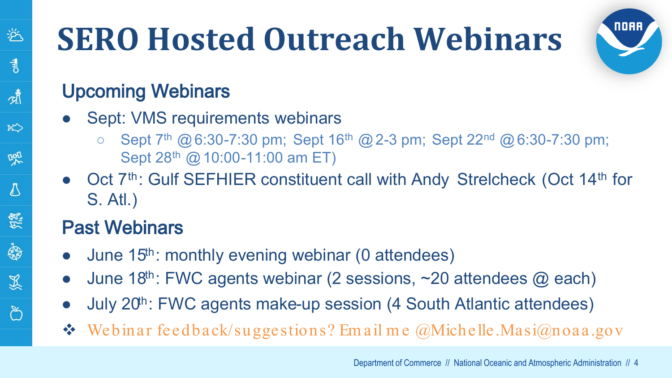### **SERO Hosted Outreach Webinars**

# **NORR**

#### Upcoming Webinars

逧

 $\overline{\mathcal{A}}$ 

啸

 $\aleph$ 

DAD

A

怨

嗡

显

్

- Sept: VMS requirements webinars
	- Sept  $7<sup>th</sup>$  @ 6:30-7:30 pm; Sept 16<sup>th</sup> @ 2-3 pm; Sept 22<sup>nd</sup> @ 6:30-7:30 pm; Sept 28<sup>th</sup> @ 10:00-11:00 am ET)
- Oct 7<sup>th</sup>: Gulf SEFHIER constituent call with Andy Strelcheck (Oct 14<sup>th</sup> for S. Atl.)

#### Past Webinars

- June  $15<sup>th</sup>$ : monthly evening webinar (0 attendees)
- June 18<sup>th</sup>: FWC agents webinar (2 sessions,  $\sim$  20 attendees  $\omega$  each)
- July 20<sup>th</sup>: FWC agents make-up session (4 South Atlantic attendees)
- $\bullet$  Webinar feedback/suggestions? Email me @Michelle.Masi@noaa.gov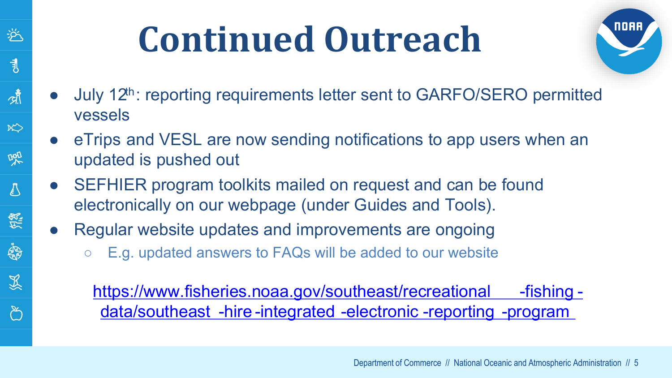### **Continued Outreach**

兴

弐

্যাঁ

 $\aleph$ 

Dall

 $\mathcal{B}_{\mathcal{A}}$ 

绿

家

災



- July  $12<sup>th</sup>$ : reporting requirements letter sent to GARFO/SERO permitted vessels
- eTrips and VESL are now sending notifications to app users when an updated is pushed out
- SEFHIER program toolkits mailed on request and can be found electronically on our webpage (under Guides and Tools).
- Regular website updates and improvements are ongoing
	- E.g. updated answers to FAQs will be added to our website

[https://www.fisheries.noaa.gov/southeast/recreational](https://www.fisheries.noaa.gov/southeast/recreational-fishing-data/southeast-hire-integrated-electronic-reporting-program) -fishing data/southeast -hire -integrated -electronic -reporting -program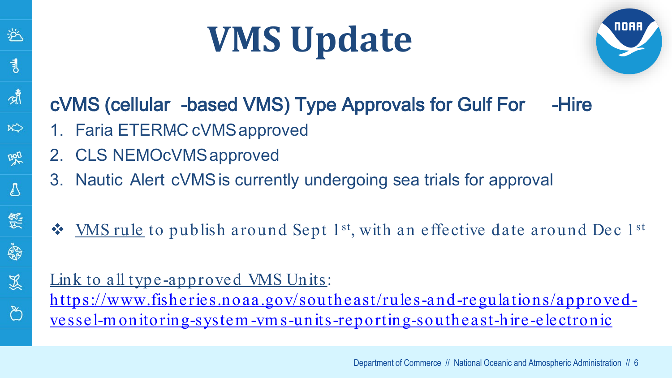### **VMS Update**



#### cVMS (cellular -based VMS) Type Approvals for Gulf For -Hire

- 1. Faria ETERMC cVMS approved
- 2. CLS NEMOCVMS approved

屰

 $\overline{\mathcal{A}}$ 

啸

 $\aleph$ 

DAD

₿

绿

家

災

్ర

- 3. Nautic Alert cVMSis currently undergoing sea trials for approval
- $\mathbf{\hat{P}}$  WMS rule to publish around Sept 1<sup>st</sup>, with an effective date around Dec 1<sup>st</sup>

#### Link to all type-approved VMS Units: [https://www.fisheries.noaa.gov/southeast/rules-and-regulations/approved](https://www.fisheries.noaa.gov/southeast/rules-and-regulations/approved-vessel-monitoring-system-vms-units-reporting-southeast-hire-electronic)vessel-m onitoring-system-vm s-units-reporting-southeast-hire -electronic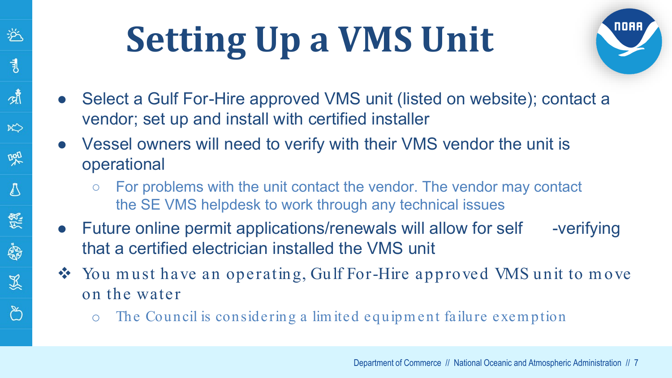### **Setting Up a VMS Unit**

举

 $\overline{\mathcal{A}}$ 

啸

 $\aleph$ 

DAD

∆

绿

**SP** 

災

్రి



- Select a Gulf For-Hire approved VMS unit (listed on website); contact a vendor; set up and install with certified installer
- Vessel owners will need to verify with their VMS vendor the unit is operational
	- $\circ$  For problems with the unit contact the vendor. The vendor may contact the SE VMS helpdesk to work through any technical issues
- Future online permit applications/renewals will allow for self -verifying that a certified electrician installed the VMS unit
- ◆ You must have an operating, Gulf For-Hire approved VMS unit to move on the water
	- o The Council is considering a lim ited equipm ent failure exem ption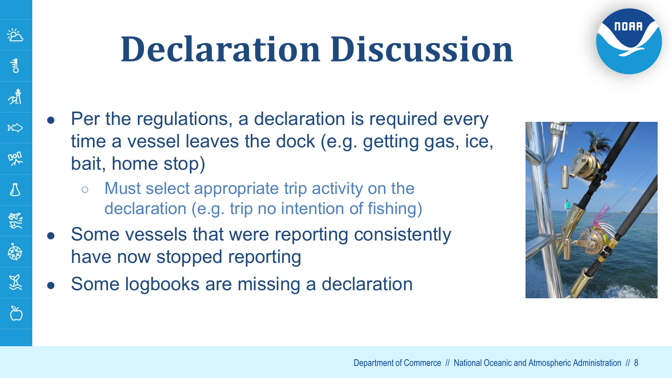### **Declaration Discussion**



- Per the regulations, a declaration is required every time a vessel leaves the dock (e.g. getting gas, ice, bait, home stop)
	- Must select appropriate trip activity on the declaration (e.g. trip no intention of fishing)
- Some vessels that were reporting consistently have now stopped reporting
- Some logbooks are missing a declaration

兴

弐

啸

 $R<sup>2</sup>$ 

吧

 $\sqrt{2}$ 

怨

\$

显

్

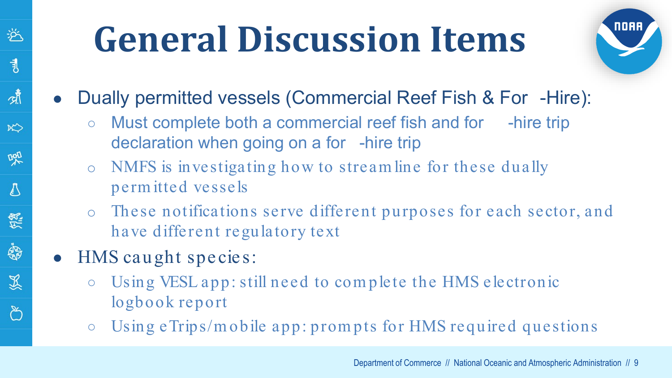

- Dually permitted vessels (Commercial Reef Fish & For -Hire):
	- Must complete both a commercial reef fish and for -hire trip declaration when going on a for -hire trip
	- o NMFS is investigating how to stream line for these dually perm itted vessels
	- o These notifications serve different purposes for each sector, and have different regulatory text
- HMS caught species:

逧

ま

啸

 $\aleph$ 

DAD

A

怨

ġ

显

ిన

- Using VESL app: still need to com plete the HMS electronic logbook report
- Using eTrips/m obile app: prom pts for HMS required questions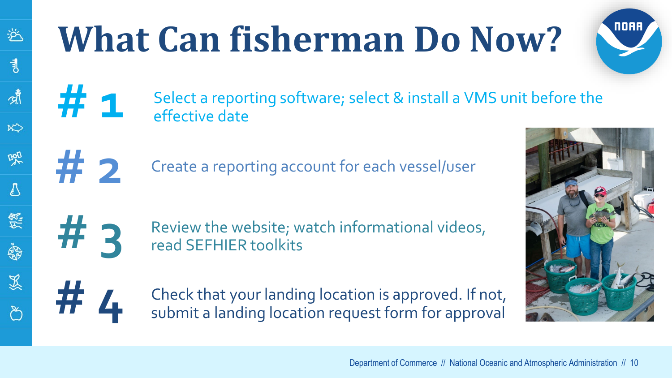### **What Can fisherman Do Now?**





**2** Create a reporting account for each vessel/user

**11 3** Review the website; watch informational videos, read SEFHIER toolkits



逧

 $\overline{\mathcal{A}}$ 

啸

 $\aleph$ 

噪

 $\sqrt{2}$ 

怨

S

以<br>R

**FOREX CHECK that your landing location is approved. If not,** submit a landing location request form for approval

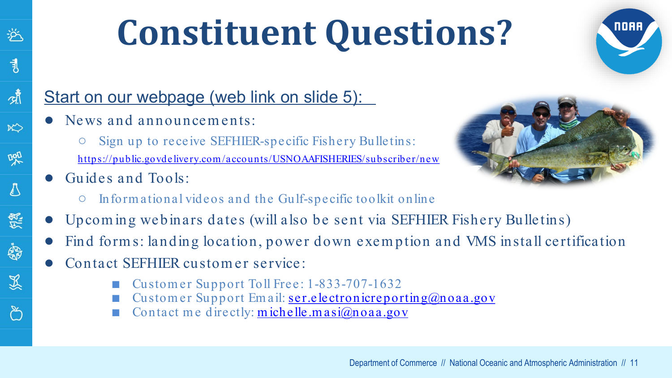### **Constituent Questions?**

#### Start on our webpage (web link on slide 5):

- News and announcements:
	- Sign up to receive SEFHIER-specific Fishery Bulletins: [https://public.govdelivery.com /accounts/USNOAAFISHERIES/subscriber/new](https://public.govdelivery.com/accounts/USNOAAFISHERIES/subscriber/new)
- Guides and Tools:

兴

司

啸

 $\aleph$ 

吧

₿

怨

\$

災



NOA

- Informational videos and the Gulf-specific toolkit online
- Upcom ing webinars dates (will also be sent via SEFHIER Fishery Bulletins)
- Find forms: landing location, power down exemption and VMS install certification
- Contact SEFHIER customer service:
	- Customer Support Toll Free: 1-833-707-1632
	- Custom er Support Em ail: [ser.electronicreporting@noaa.gov](mailto:ser.electronicreporting@noaa.gov)
	- Contact me directly:  $m$  ichelle.masi $\omega$ noaa.gov